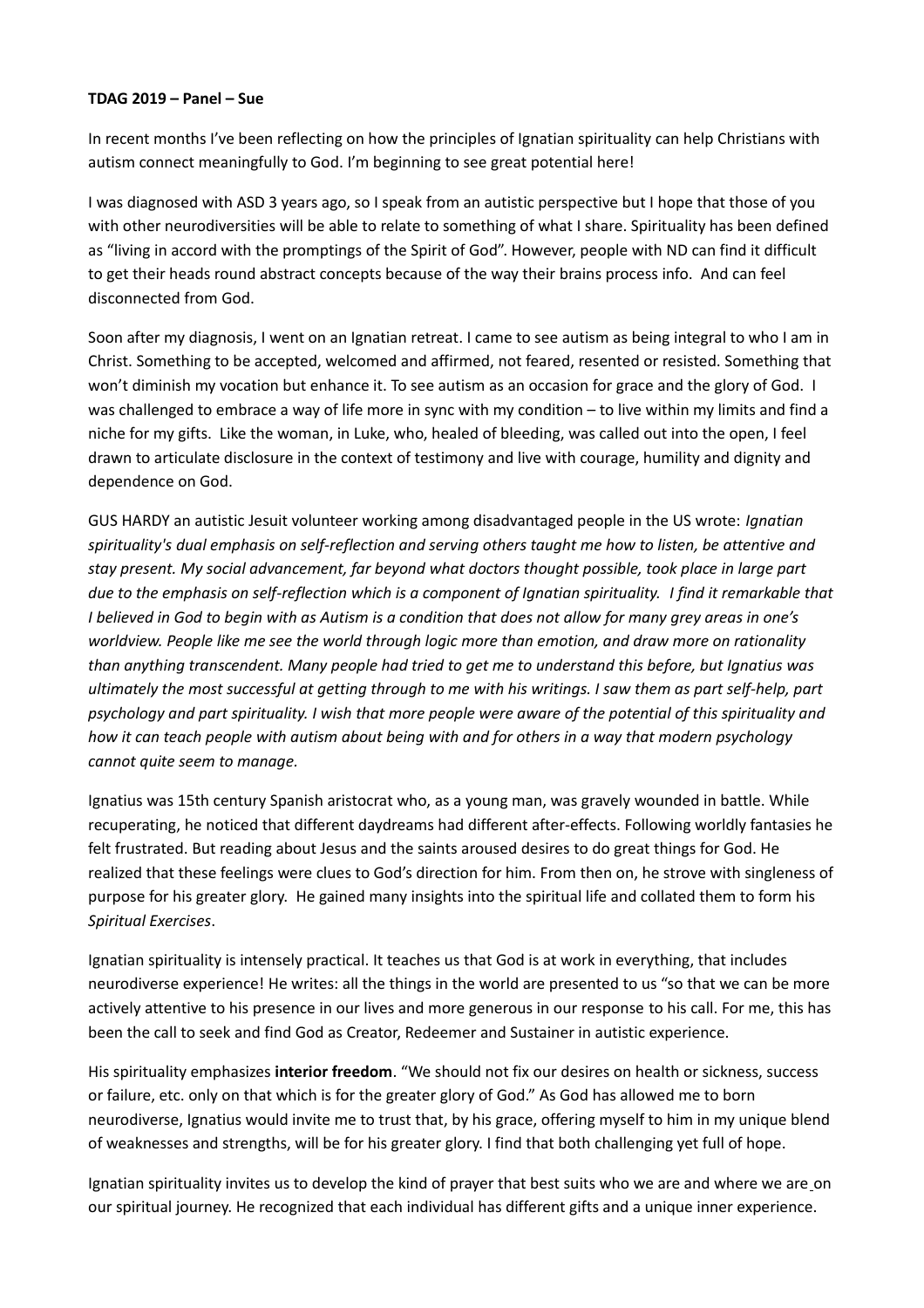## **TDAG 2019 – Panel – Sue**

In recent months I've been reflecting on how the principles of Ignatian spirituality can help Christians with autism connect meaningfully to God. I'm beginning to see great potential here!

I was diagnosed with ASD 3 years ago, so I speak from an autistic perspective but I hope that those of you with other neurodiversities will be able to relate to something of what I share. Spirituality has been defined as "living in accord with the promptings of the Spirit of God". However, people with ND can find it difficult to get their heads round abstract concepts because of the way their brains process info. And can feel disconnected from God.

Soon after my diagnosis, I went on an Ignatian retreat. I came to see autism as being integral to who I am in Christ. Something to be accepted, welcomed and affirmed, not feared, resented or resisted. Something that won't diminish my vocation but enhance it. To see autism as an occasion for grace and the glory of God. I was challenged to embrace a way of life more in sync with my condition – to live within my limits and find a niche for my gifts. Like the woman, in Luke, who, healed of bleeding, was called out into the open, I feel drawn to articulate disclosure in the context of testimony and live with courage, humility and dignity and dependence on God.

GUS HARDY an autistic Jesuit volunteer working among disadvantaged people in the US wrote: *Ignatian spirituality's dual emphasis on self-reflection and serving others taught me how to listen, be attentive and stay present. My social advancement, far beyond what doctors thought possible, took place in large part due to the emphasis on self-reflection which is a component of Ignatian spirituality. I find it remarkable that I believed in God to begin with as Autism is a condition that does not allow for many grey areas in one's worldview. People like me see the world through logic more than emotion, and draw more on rationality than anything transcendent. Many people had tried to get me to understand this before, but Ignatius was ultimately the most successful at getting through to me with his writings. I saw them as part self-help, part psychology and part spirituality. I wish that more people were aware of the potential of this spirituality and how it can teach people with autism about being with and for others in a way that modern psychology cannot quite seem to manage.* 

Ignatius was 15th century Spanish aristocrat who, as a young man, was gravely wounded in battle. While recuperating, he noticed that different daydreams had different after-effects. Following worldly fantasies he felt frustrated. But reading about Jesus and the saints aroused desires to do great things for God. He realized that these feelings were clues to God's direction for him. From then on, he strove with singleness of purpose for his greater glory. He gained many insights into the spiritual life and collated them to form his *Spiritual Exercises*.

Ignatian spirituality is intensely practical. It teaches us that God is at work in everything, that includes neurodiverse experience! He writes: all the things in the world are presented to us "so that we can be more actively attentive to his presence in our lives and more generous in our response to his call. For me, this has been the call to seek and find God as Creator, Redeemer and Sustainer in autistic experience.

His spirituality emphasizes **interior freedom**. "We should not fix our desires on health or sickness, success or failure, etc. only on that which is for the greater glory of God." As God has allowed me to born neurodiverse, Ignatius would invite me to trust that, by his grace, offering myself to him in my unique blend of weaknesses and strengths, will be for his greater glory. I find that both challenging yet full of hope.

Ignatian spirituality invites us to develop the kind of prayer that best suits who we are and where we are on our spiritual journey. He recognized that each individual has different gifts and a unique inner experience.